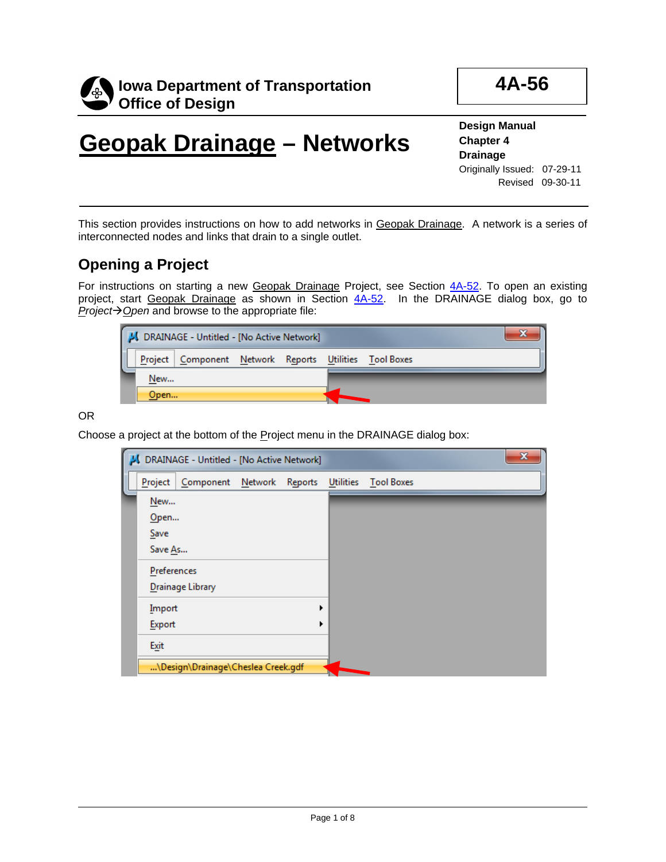

**4A-56**

**Design Manual Chapter 4 Drainage** Originally Issued: 07-29-11 Revised 09-30-11

This section provides instructions on how to add networks in Geopak Drainage. A network is a series of interconnected nodes and links that drain to a single outlet.

## **Opening a Project**

For instructions on starting a new Geopak Drainage Project, see Section 4A-52. To open an existing project, start Geopak Drainage as shown in Section 4A-52. In the DRAINAGE dialog box, go to *Project* $\rightarrow$  *<u>O</u>pen* and browse to the appropriate file:

| <b>JULI</b> DRAINAGE - Untitled - [No Active Network] |                                                        |  |  |  |  |  |  |
|-------------------------------------------------------|--------------------------------------------------------|--|--|--|--|--|--|
|                                                       | Project Component Network Reports Utilities Tool Boxes |  |  |  |  |  |  |
| New                                                   |                                                        |  |  |  |  |  |  |
| Open                                                  |                                                        |  |  |  |  |  |  |

OR

Choose a project at the bottom of the Project menu in the DRAINAGE dialog box:

|             | J. DRAINAGE - Untitled - [No Active Network]   |  |  | x |
|-------------|------------------------------------------------|--|--|---|
| Project     | Component Network Reports Utilities Tool Boxes |  |  |   |
| New         |                                                |  |  |   |
| Open        |                                                |  |  |   |
| Save        |                                                |  |  |   |
| Save As     |                                                |  |  |   |
| Preferences |                                                |  |  |   |
|             | Drainage Library                               |  |  |   |
| Import      |                                                |  |  |   |
| Export      |                                                |  |  |   |
| Exit        |                                                |  |  |   |
|             | \Design\Drainage\Cheslea Creek.gdf             |  |  |   |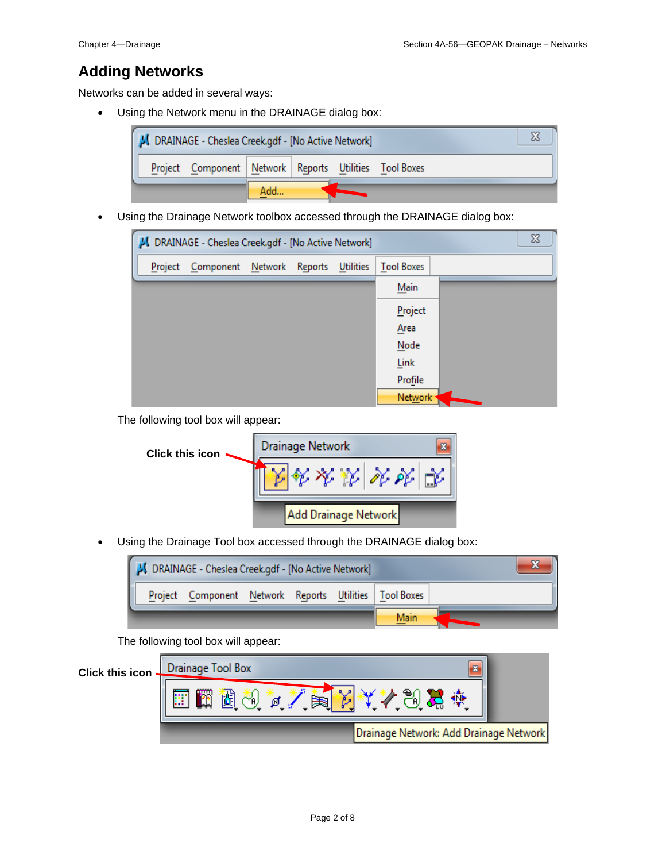## **Adding Networks**

Networks can be added in several ways:

• Using the Network menu in the DRAINAGE dialog box:



• Using the Drainage Network toolbox accessed through the DRAINAGE dialog box:



The following tool box will appear:

| <b>Click this icon</b> | Drainage Network     |  |  |
|------------------------|----------------------|--|--|
|                        | タカダめし                |  |  |
|                        | Add Drainage Network |  |  |

• Using the Drainage Tool box accessed through the DRAINAGE dialog box:



The following tool box will appear:

| <b>Click this icon</b> | Drainage Tool Box<br>m<br>×.           |  |
|------------------------|----------------------------------------|--|
|                        | o<br>矈<br>ø                            |  |
|                        | Drainage Network: Add Drainage Network |  |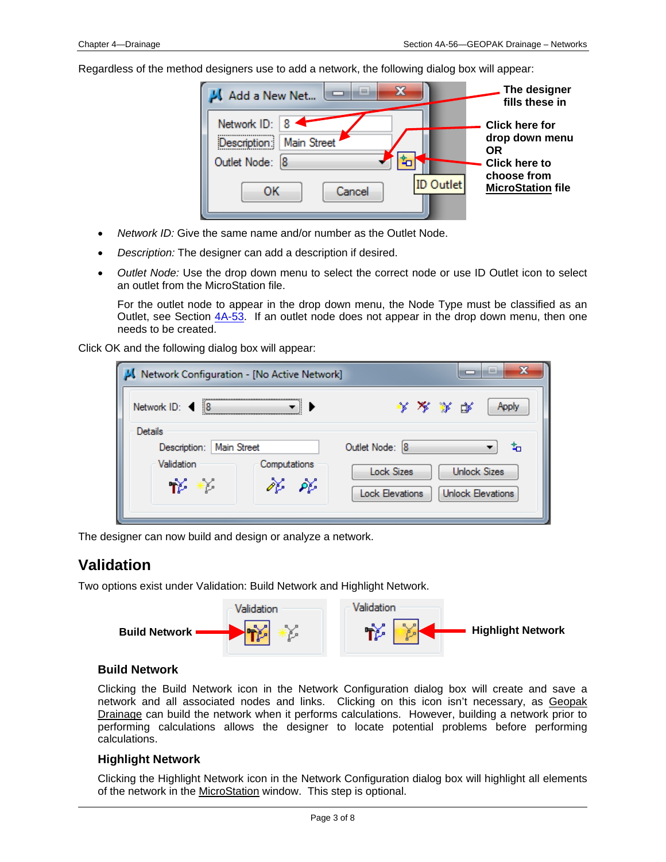Regardless of the method designers use to add a network, the following dialog box will appear:

| Add a New Net                                                                                           | The designer<br>fills these in                                                                                          |
|---------------------------------------------------------------------------------------------------------|-------------------------------------------------------------------------------------------------------------------------|
| Network ID:<br><b>Main Street</b><br>Description:<br>Outlet Node: 8<br><b>ID Outlet</b><br>Cancel<br>ок | <b>Click here for</b><br>drop down menu<br><b>OR</b><br><b>Click here to</b><br>choose from<br><b>MicroStation file</b> |

- *Network ID:* Give the same name and/or number as the Outlet Node.
- *Description:* The designer can add a description if desired.
- *Outlet Node:* Use the drop down menu to select the correct node or use ID Outlet icon to select an outlet from the MicroStation file.

For the outlet node to appear in the drop down menu, the Node Type must be classified as an Outlet, see Section  $4A-53$ . If an outlet node does not appear in the drop down menu, then one needs to be created.

Click OK and the following dialog box will appear:

| x<br>iш<br>Network Configuration - [No Active Network]                               |                                                                                                                        |  |  |  |  |  |  |  |
|--------------------------------------------------------------------------------------|------------------------------------------------------------------------------------------------------------------------|--|--|--|--|--|--|--|
| Network ID: <<br> 8                                                                  | * * * *<br>Apply                                                                                                       |  |  |  |  |  |  |  |
| Details<br>Main Street<br>Description:<br>Validation<br>Computations<br>ぷ ぷ<br>†ੱ *ੱ | Outlet Node: 8<br>¥α<br><b>Unlock Sizes</b><br><b>Lock Sizes</b><br><b>Unlock Elevations</b><br><b>Lock Elevations</b> |  |  |  |  |  |  |  |

The designer can now build and design or analyze a network.

### **Validation**

Two options exist under Validation: Build Network and Highlight Network.



#### **Build Network**

Clicking the Build Network icon in the Network Configuration dialog box will create and save a network and all associated nodes and links. Clicking on this icon isn't necessary, as Geopak Drainage can build the network when it performs calculations. However, building a network prior to performing calculations allows the designer to locate potential problems before performing calculations.

#### **Highlight Network**

Clicking the Highlight Network icon in the Network Configuration dialog box will highlight all elements of the network in the MicroStation window. This step is optional.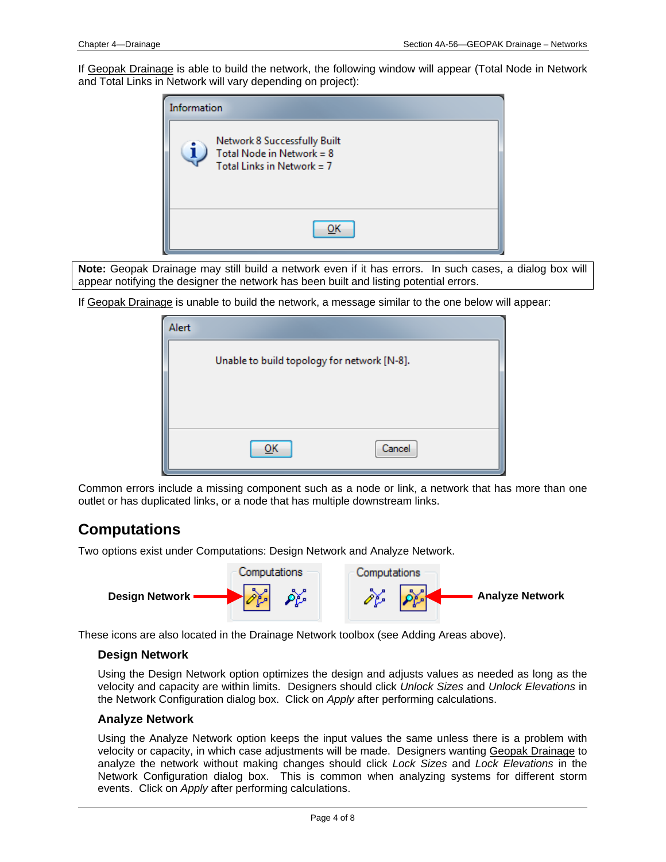If Geopak Drainage is able to build the network, the following window will appear (Total Node in Network and Total Links in Network will vary depending on project):



**Note:** Geopak Drainage may still build a network even if it has errors. In such cases, a dialog box will appear notifying the designer the network has been built and listing potential errors.

If Geopak Drainage is unable to build the network, a message similar to the one below will appear:

| Alert |                                             |        |
|-------|---------------------------------------------|--------|
|       | Unable to build topology for network [N-8]. |        |
|       |                                             |        |
|       |                                             |        |
|       | OΚ                                          | Cancel |

Common errors include a missing component such as a node or link, a network that has more than one outlet or has duplicated links, or a node that has multiple downstream links.

## **Computations**

Two options exist under Computations: Design Network and Analyze Network.



These icons are also located in the Drainage Network toolbox (see Adding Areas above).

#### **Design Network**

Using the Design Network option optimizes the design and adjusts values as needed as long as the velocity and capacity are within limits. Designers should click *Unlock Sizes* and *Unlock Elevations* in the Network Configuration dialog box. Click on *Apply* after performing calculations.

#### **Analyze Network**

Using the Analyze Network option keeps the input values the same unless there is a problem with velocity or capacity, in which case adjustments will be made. Designers wanting Geopak Drainage to analyze the network without making changes should click *Lock Sizes* and *Lock Elevations* in the Network Configuration dialog box. This is common when analyzing systems for different storm events. Click on *Apply* after performing calculations.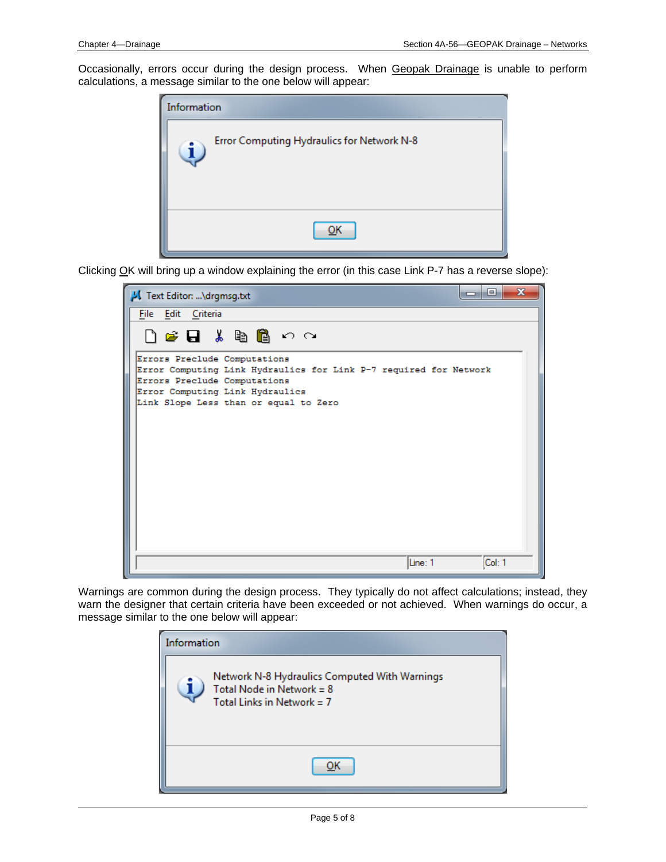Occasionally, errors occur during the design process. When Geopak Drainage is unable to perform calculations, a message similar to the one below will appear:



Clicking OK will bring up a window explaining the error (in this case Link P-7 has a reverse slope):



Warnings are common during the design process. They typically do not affect calculations; instead, they warn the designer that certain criteria have been exceeded or not achieved. When warnings do occur, a message similar to the one below will appear:

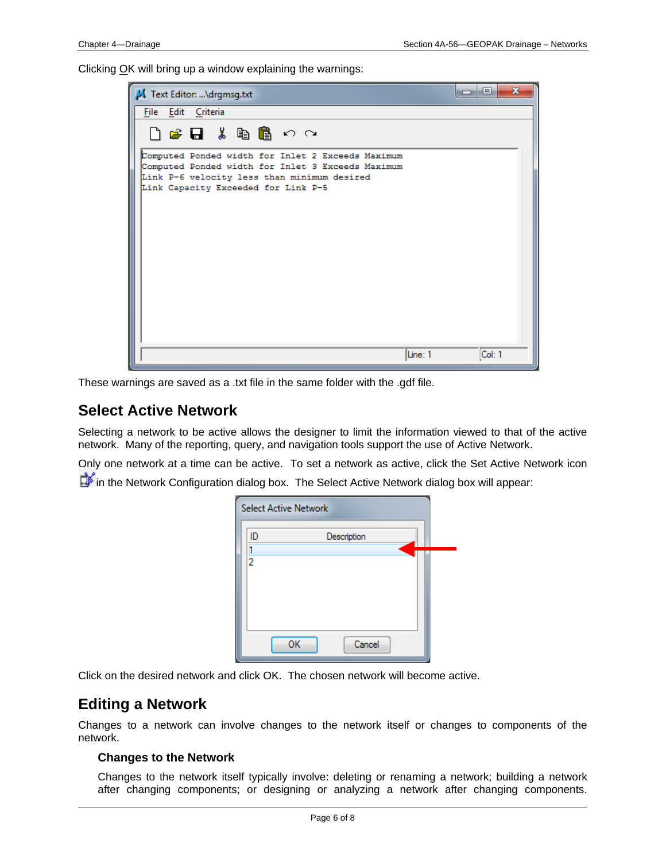Clicking OK will bring up a window explaining the warnings:

| Text Editor: \drgmsg.txt                                                                                                                                                                     | $\mathbf{x}$<br>-9 |
|----------------------------------------------------------------------------------------------------------------------------------------------------------------------------------------------|--------------------|
| File Edit Criteria                                                                                                                                                                           |                    |
| □ 2 日 ↓ 亀 亀 っ ෬                                                                                                                                                                              |                    |
| Computed Ponded width for Inlet 2 Exceeds Maximum<br>Computed Ponded width for Inlet 3 Exceeds Maximum<br>Link P-6 velocity less than minimum desired<br>Link Capacity Exceeded for Link P-5 |                    |
| Line: 1                                                                                                                                                                                      | Col: 1             |

These warnings are saved as a .txt file in the same folder with the .gdf file.

## **Select Active Network**

Selecting a network to be active allows the designer to limit the information viewed to that of the active network. Many of the reporting, query, and navigation tools support the use of Active Network.

Only one network at a time can be active. To set a network as active, click the Set Active Network icon in the Network Configuration dialog box. The Select Active Network dialog box will appear:

| <b>Select Active Network</b> |              |  |
|------------------------------|--------------|--|
| ID                           | Description  |  |
| 2                            |              |  |
|                              |              |  |
|                              |              |  |
|                              | ОK<br>Cancel |  |
|                              |              |  |

Click on the desired network and click OK. The chosen network will become active.

### **Editing a Network**

Changes to a network can involve changes to the network itself or changes to components of the network.

#### **Changes to the Network**

Changes to the network itself typically involve: deleting or renaming a network; building a network after changing components; or designing or analyzing a network after changing components.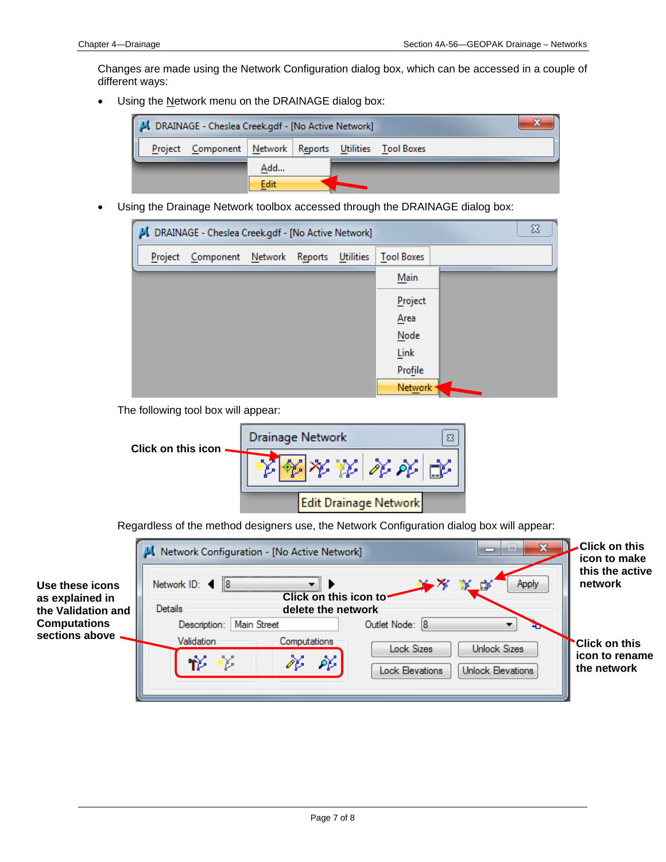Changes are made using the Network Configuration dialog box, which can be accessed in a couple of different ways:

• Using the Network menu on the DRAINAGE dialog box:



• Using the Drainage Network toolbox accessed through the DRAINAGE dialog box:



The following tool box will appear:



Regardless of the method designers use, the Network Configuration dialog box will appear:

| Use these icons<br>as explained in<br>the Validation and | <b>Click on this</b><br>Network Configuration - [No Active Network]<br>icon to make<br>Apply<br> 8<br>.đr<br>Network $ID:$<br>Click on this icon to<br>Details<br>delete the network |                                            |                               |  |  |
|----------------------------------------------------------|--------------------------------------------------------------------------------------------------------------------------------------------------------------------------------------|--------------------------------------------|-------------------------------|--|--|
| <b>Computations</b>                                      | <b>Main Street</b><br>Description:                                                                                                                                                   | Outlet Node: 8                             |                               |  |  |
| sections above                                           | Validation<br>Computations                                                                                                                                                           | Lock Sizes<br><b>Unlock Sizes</b>          | <b>Click on this</b>          |  |  |
|                                                          | ₩                                                                                                                                                                                    | òb<br>Unlock Elevations<br>Lock Elevations | icon to rename<br>the network |  |  |
|                                                          |                                                                                                                                                                                      |                                            |                               |  |  |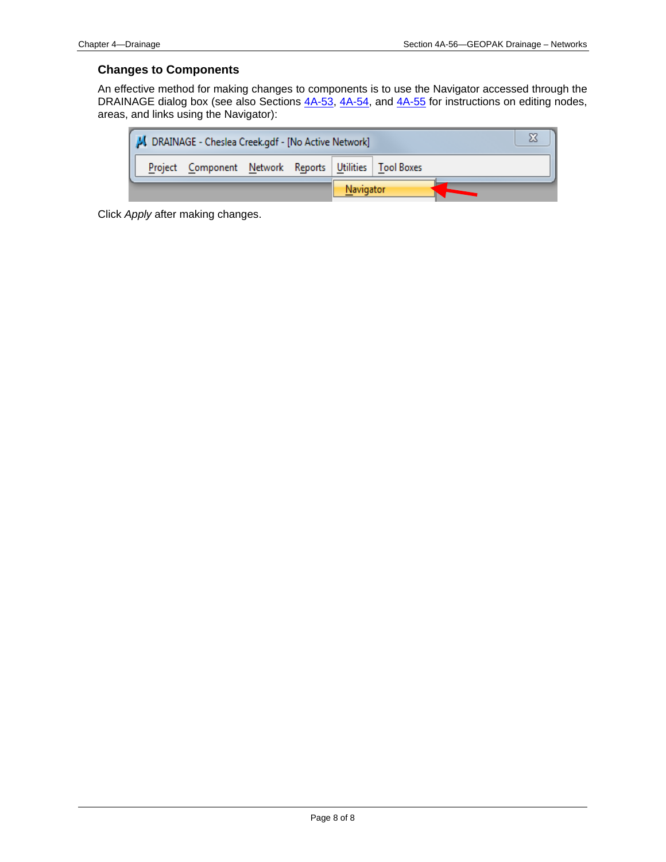#### **Changes to Components**

An effective method for making changes to components is to use the Navigator accessed through the DRAINAGE dialog box (see also Sections 4A-53, 4A-54, and 4A-55 for instructions on editing nodes, areas, and links using the Navigator):

|           | J. DRAINAGE - Cheslea Creek.gdf - [No Active Network] |                                                          |  |  |  |  |  |  |
|-----------|-------------------------------------------------------|----------------------------------------------------------|--|--|--|--|--|--|
|           |                                                       | Project Component Network Reports Utilities   Tool Boxes |  |  |  |  |  |  |
| Navigator |                                                       |                                                          |  |  |  |  |  |  |

Click *Apply* after making changes.